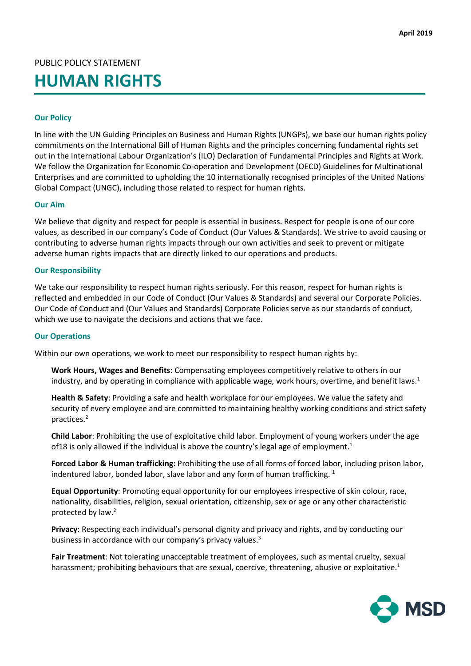PUBLIC POLICY STATEMENT

# **HUMAN RIGHTS**

# **Our Policy**

In line with the UN Guiding Principles on Business and Human Rights (UNGPs), we base our human rights policy commitments on the International Bill of Human Rights and the principles concerning fundamental rights set out in the International Labour Organization's (ILO) Declaration of Fundamental Principles and Rights at Work. We follow the Organization for Economic Co-operation and Development (OECD) Guidelines for Multinational Enterprises and are committed to upholding the 10 internationally recognised principles of the United Nations Global Compact (UNGC), including those related to respect for human rights.

### **Our Aim**

We believe that dignity and respect for people is essential in business. Respect for people is one of our core values, as described in our company's Code of Conduct (Our Values & Standards). We strive to avoid causing or contributing to adverse human rights impacts through our own activities and seek to prevent or mitigate adverse human rights impacts that are directly linked to our operations and products.

#### **Our Responsibility**

We take our responsibility to respect human rights seriously. For this reason, respect for human rights is reflected and embedded in our Code of Conduct (Our Values & Standards) and several our Corporate Policies. Our Code of Conduct and (Our Values and Standards) Corporate Policies serve as our standards of conduct, which we use to navigate the decisions and actions that we face.

#### **Our Operations**

Within our own operations, we work to meet our responsibility to respect human rights by:

**Work Hours, Wages and Benefits**: Compensating employees competitively relative to others in our industry, and by operating in compliance with applicable wage, work hours, overtime, and benefit laws.<sup>1</sup>

**Health & Safety**: Providing a safe and health workplace for our employees. We value the safety and security of every employee and are committed to maintaining healthy working conditions and strict safety practices.2

**Child Labor**: Prohibiting the use of exploitative child labor. Employment of young workers under the age of 18 is only allowed if the individual is above the country's legal age of employment.<sup>1</sup>

**Forced Labor & Human trafficking**: Prohibiting the use of all forms of forced labor, including prison labor, indentured labor, bonded labor, slave labor and any form of human trafficking.  $1$ 

**Equal Opportunity**: Promoting equal opportunity for our employees irrespective of skin colour, race, nationality, disabilities, religion, sexual orientation, citizenship, sex or age or any other characteristic protected by law.2

**Privacy**: Respecting each individual's personal dignity and privacy and rights, and by conducting our business in accordance with our company's privacy values.<sup>3</sup>

**Fair Treatment**: Not tolerating unacceptable treatment of employees, such as mental cruelty, sexual harassment; prohibiting behaviours that are sexual, coercive, threatening, abusive or exploitative.<sup>1</sup>

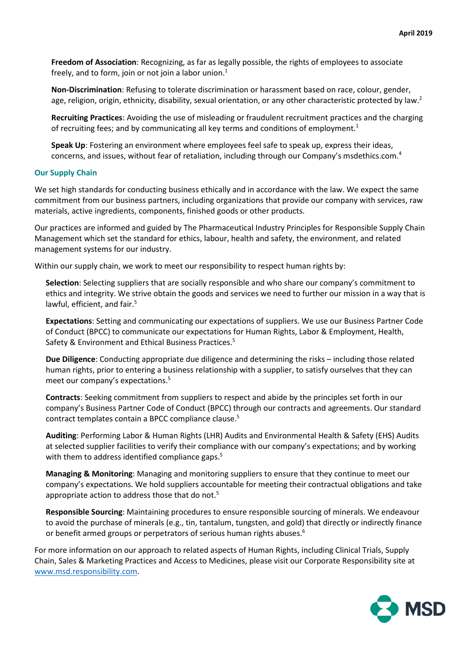**Freedom of Association**: Recognizing, as far as legally possible, the rights of employees to associate freely, and to form, join or not join a labor union. $<sup>1</sup>$ </sup>

**Non-Discrimination**: Refusing to tolerate discrimination or harassment based on race, colour, gender, age, religion, origin, ethnicity, disability, sexual orientation, or any other characteristic protected by law. $^2$ 

**Recruiting Practices**: Avoiding the use of misleading or fraudulent recruitment practices and the charging of recruiting fees; and by communicating all key terms and conditions of employment.<sup>1</sup>

**Speak Up**: Fostering an environment where employees feel safe to speak up, express their ideas, concerns, and issues, without fear of retaliation, including through our Company's msdethics.com.4

# **Our Supply Chain**

We set high standards for conducting business ethically and in accordance with the law. We expect the same commitment from our business partners, including organizations that provide our company with services, raw materials, active ingredients, components, finished goods or other products.

Our practices are informed and guided by The Pharmaceutical Industry Principles for Responsible Supply Chain Management which set the standard for ethics, labour, health and safety, the environment, and related management systems for our industry.

Within our supply chain, we work to meet our responsibility to respect human rights by:

**Selection**: Selecting suppliers that are socially responsible and who share our company's commitment to ethics and integrity. We strive obtain the goods and services we need to further our mission in a way that is lawful, efficient, and fair.<sup>5</sup>

**Expectations**: Setting and communicating our expectations of suppliers. We use our Business Partner Code of Conduct (BPCC) to communicate our expectations for Human Rights, Labor & Employment, Health, Safety & Environment and Ethical Business Practices.<sup>5</sup>

**Due Diligence**: Conducting appropriate due diligence and determining the risks – including those related human rights, prior to entering a business relationship with a supplier, to satisfy ourselves that they can meet our company's expectations.<sup>5</sup>

**Contracts**: Seeking commitment from suppliers to respect and abide by the principles set forth in our company's Business Partner Code of Conduct (BPCC) through our contracts and agreements. Our standard contract templates contain a BPCC compliance clause.<sup>5</sup>

**Auditing**: Performing Labor & Human Rights (LHR) Audits and Environmental Health & Safety (EHS) Audits at selected supplier facilities to verify their compliance with our company's expectations; and by working with them to address identified compliance gaps.<sup>5</sup>

**Managing & Monitoring**: Managing and monitoring suppliers to ensure that they continue to meet our company's expectations. We hold suppliers accountable for meeting their contractual obligations and take appropriate action to address those that do not.<sup>5</sup>

**Responsible Sourcing**: Maintaining procedures to ensure responsible sourcing of minerals. We endeavour to avoid the purchase of minerals (e.g., tin, tantalum, tungsten, and gold) that directly or indirectly finance or benefit armed groups or perpetrators of serious human rights abuses.<sup>6</sup>

For more information on our approach to related aspects of Human Rights, including Clinical Trials, Supply Chain, Sales & Marketing Practices and Access to Medicines, please visit our Corporate Responsibility site at [www.msd.responsibility.com.](http://www.msd.responsibility.com/)